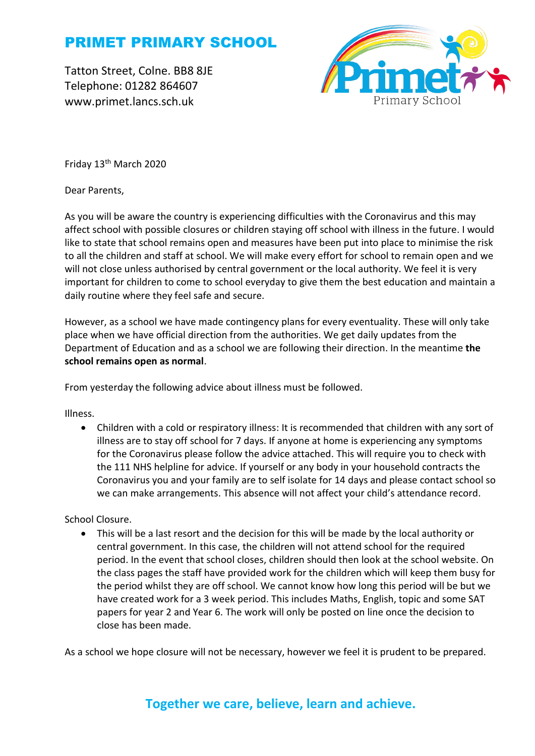# PRIMET PRIMARY SCHOOL

Tatton Street, Colne. BB8 8JE Telephone: 01282 864607 www.primet.lancs.sch.uk



Friday 13<sup>th</sup> March 2020

Dear Parents,

As you will be aware the country is experiencing difficulties with the Coronavirus and this may affect school with possible closures or children staying off school with illness in the future. I would like to state that school remains open and measures have been put into place to minimise the risk to all the children and staff at school. We will make every effort for school to remain open and we will not close unless authorised by central government or the local authority. We feel it is very important for children to come to school everyday to give them the best education and maintain a daily routine where they feel safe and secure.

However, as a school we have made contingency plans for every eventuality. These will only take place when we have official direction from the authorities. We get daily updates from the Department of Education and as a school we are following their direction. In the meantime **the school remains open as normal**.

From yesterday the following advice about illness must be followed.

Illness.

• Children with a cold or respiratory illness: It is recommended that children with any sort of illness are to stay off school for 7 days. If anyone at home is experiencing any symptoms for the Coronavirus please follow the advice attached. This will require you to check with the 111 NHS helpline for advice. If yourself or any body in your household contracts the Coronavirus you and your family are to self isolate for 14 days and please contact school so we can make arrangements. This absence will not affect your child's attendance record.

School Closure.

• This will be a last resort and the decision for this will be made by the local authority or central government. In this case, the children will not attend school for the required period. In the event that school closes, children should then look at the school website. On the class pages the staff have provided work for the children which will keep them busy for the period whilst they are off school. We cannot know how long this period will be but we have created work for a 3 week period. This includes Maths, English, topic and some SAT papers for year 2 and Year 6. The work will only be posted on line once the decision to close has been made.

As a school we hope closure will not be necessary, however we feel it is prudent to be prepared.

#### **Together we care, believe, learn and achieve.**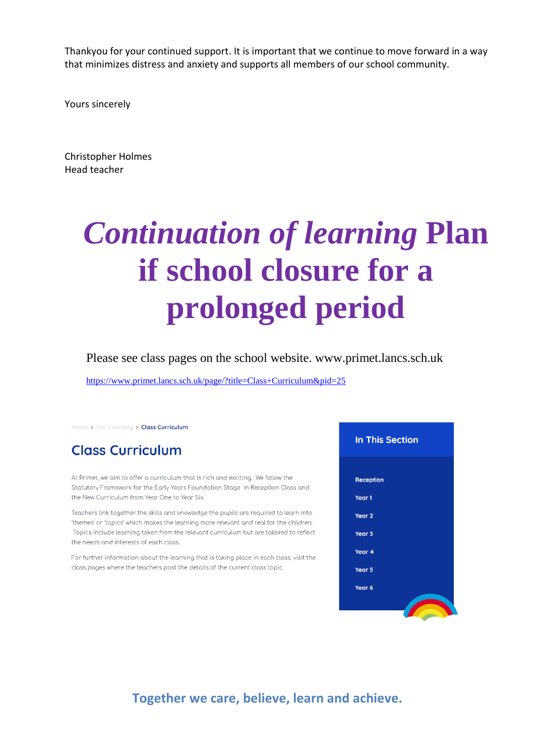Thankyou for your continued support. It is important that we continue to move forward in a way that minimizes distress and anxiety and supports all members of our school community.

Yours sincerely

Christopher Holmes Head teacher

# *Continuation of learning* **Plan if school closure for a prolonged period**

Please see class pages on the school website. www.primet.lancs.sch.uk

<https://www.primet.lancs.sch.uk/page/?title=Class+Curriculum&pid=25>

Home > Our Learning > Class Curriculum

### **Class Curriculum**

At Primet, we aim to offer a curriculum that is rich and exciting. We follow the Statutory Framework for the Early Years Foundation Stage in Reception Class and the New Curriculum from Year One to Year Six.

Teachers link together the skills and knowledge the pupils are required to learn into 'themes' or 'tooics' which mokes the leorning more relevant and real for the children. Topics include learning taken from the relevant curriculum but are tailored to reflect the needs and interests of each class.

For further information about the learning that is taking place in each class, visit the class pages where the teachers post the details of the current class topic.



**Together we care, believe, learn and achieve.**